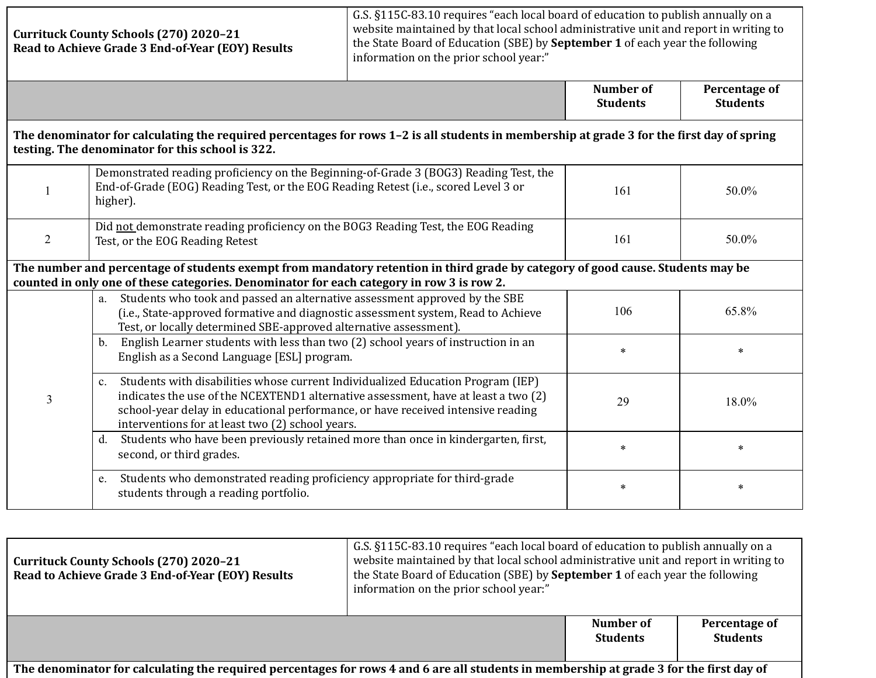|                                                                                                                                                                                                                              | <b>Currituck County Schools (270) 2020-21</b><br>Read to Achieve Grade 3 End-of-Year (EOY) Results                                                                                                                                                                                                                  | G.S. §115C-83.10 requires "each local board of education to publish annually on a<br>website maintained by that local school administrative unit and report in writing to<br>the State Board of Education (SBE) by September 1 of each year the following<br>information on the prior school year:" |                                     |                                  |
|------------------------------------------------------------------------------------------------------------------------------------------------------------------------------------------------------------------------------|---------------------------------------------------------------------------------------------------------------------------------------------------------------------------------------------------------------------------------------------------------------------------------------------------------------------|-----------------------------------------------------------------------------------------------------------------------------------------------------------------------------------------------------------------------------------------------------------------------------------------------------|-------------------------------------|----------------------------------|
|                                                                                                                                                                                                                              |                                                                                                                                                                                                                                                                                                                     |                                                                                                                                                                                                                                                                                                     | <b>Number of</b><br><b>Students</b> | Percentage of<br><b>Students</b> |
|                                                                                                                                                                                                                              | The denominator for calculating the required percentages for rows 1-2 is all students in membership at grade 3 for the first day of spring<br>testing. The denominator for this school is 322.                                                                                                                      |                                                                                                                                                                                                                                                                                                     |                                     |                                  |
| 1                                                                                                                                                                                                                            | Demonstrated reading proficiency on the Beginning-of-Grade 3 (BOG3) Reading Test, the<br>End-of-Grade (EOG) Reading Test, or the EOG Reading Retest (i.e., scored Level 3 or<br>higher).                                                                                                                            |                                                                                                                                                                                                                                                                                                     | 161                                 | 50.0%                            |
| $\overline{2}$                                                                                                                                                                                                               | Did not demonstrate reading proficiency on the BOG3 Reading Test, the EOG Reading<br>Test, or the EOG Reading Retest                                                                                                                                                                                                |                                                                                                                                                                                                                                                                                                     | 161                                 | 50.0%                            |
| The number and percentage of students exempt from mandatory retention in third grade by category of good cause. Students may be<br>counted in only one of these categories. Denominator for each category in row 3 is row 2. |                                                                                                                                                                                                                                                                                                                     |                                                                                                                                                                                                                                                                                                     |                                     |                                  |
| 3                                                                                                                                                                                                                            | Students who took and passed an alternative assessment approved by the SBE<br>a.<br>(i.e., State-approved formative and diagnostic assessment system, Read to Achieve<br>Test, or locally determined SBE-approved alternative assessment).                                                                          |                                                                                                                                                                                                                                                                                                     | 106                                 | 65.8%                            |
|                                                                                                                                                                                                                              | English Learner students with less than two (2) school years of instruction in an<br>$\mathbf{b}$ .<br>English as a Second Language [ESL] program.                                                                                                                                                                  |                                                                                                                                                                                                                                                                                                     | $\ast$                              | $\ast$                           |
|                                                                                                                                                                                                                              | Students with disabilities whose current Individualized Education Program (IEP)<br>c.<br>indicates the use of the NCEXTEND1 alternative assessment, have at least a two (2)<br>school-year delay in educational performance, or have received intensive reading<br>interventions for at least two (2) school years. |                                                                                                                                                                                                                                                                                                     | 29                                  | 18.0%                            |
|                                                                                                                                                                                                                              | Students who have been previously retained more than once in kindergarten, first,<br>d.<br>second, or third grades.                                                                                                                                                                                                 |                                                                                                                                                                                                                                                                                                     | $\ast$                              | $\ast$                           |
|                                                                                                                                                                                                                              | Students who demonstrated reading proficiency appropriate for third-grade<br>e.<br>students through a reading portfolio.                                                                                                                                                                                            |                                                                                                                                                                                                                                                                                                     | $\ast$                              | $\ast$                           |
|                                                                                                                                                                                                                              |                                                                                                                                                                                                                                                                                                                     | G.S. §115C-83.10 requires "each local board of education to publish annually on a                                                                                                                                                                                                                   |                                     |                                  |

| Currituck County Schools (270) 2020-21<br>Read to Achieve Grade 3 End-of-Year (EOY) Results                                              | G.S. §115C-83.10 requires "each local board of education to publish annually on a<br>website maintained by that local school administrative unit and report in writing to<br>the State Board of Education (SBE) by September 1 of each year the following<br>information on the prior school year:" |                              |                                  |
|------------------------------------------------------------------------------------------------------------------------------------------|-----------------------------------------------------------------------------------------------------------------------------------------------------------------------------------------------------------------------------------------------------------------------------------------------------|------------------------------|----------------------------------|
|                                                                                                                                          |                                                                                                                                                                                                                                                                                                     | Number of<br><b>Students</b> | Percentage of<br><b>Students</b> |
| The denominator for calculating the required percentages for rows 4 and 6 are all students in membership at grade 3 for the first day of |                                                                                                                                                                                                                                                                                                     |                              |                                  |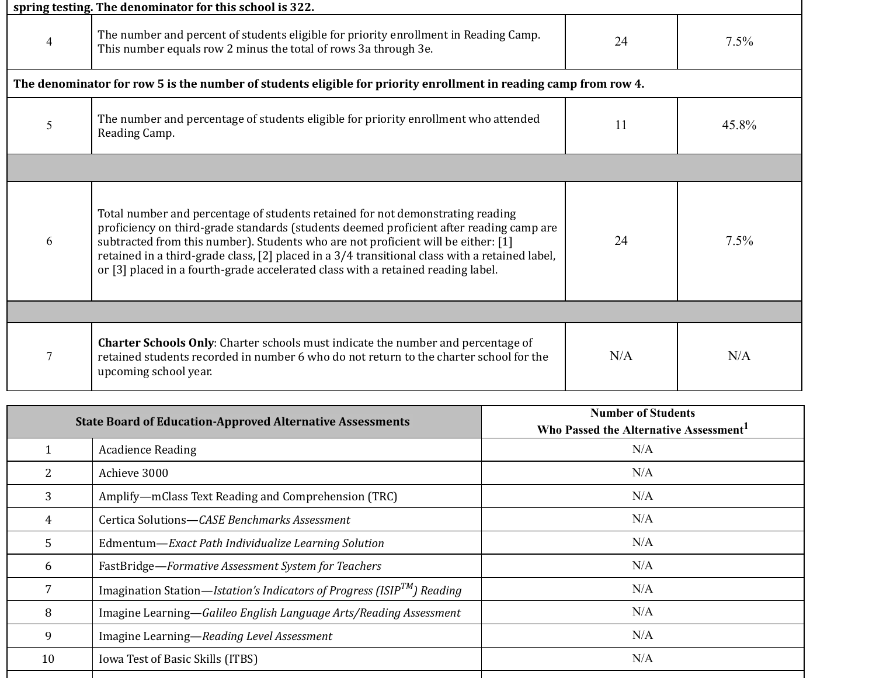| spring testing. The denominator for this school is 322. |                                                                                                                                                                                                                                                                                                                                                                                                                                                      |     |         |  |
|---------------------------------------------------------|------------------------------------------------------------------------------------------------------------------------------------------------------------------------------------------------------------------------------------------------------------------------------------------------------------------------------------------------------------------------------------------------------------------------------------------------------|-----|---------|--|
| 4                                                       | The number and percent of students eligible for priority enrollment in Reading Camp.<br>This number equals row 2 minus the total of rows 3a through 3e.                                                                                                                                                                                                                                                                                              | 24  | $7.5\%$ |  |
|                                                         | The denominator for row 5 is the number of students eligible for priority enrollment in reading camp from row 4.                                                                                                                                                                                                                                                                                                                                     |     |         |  |
| 5                                                       | The number and percentage of students eligible for priority enrollment who attended<br>Reading Camp.                                                                                                                                                                                                                                                                                                                                                 | 11  | 45.8%   |  |
|                                                         |                                                                                                                                                                                                                                                                                                                                                                                                                                                      |     |         |  |
| 6                                                       | Total number and percentage of students retained for not demonstrating reading<br>proficiency on third-grade standards (students deemed proficient after reading camp are<br>subtracted from this number). Students who are not proficient will be either: [1]<br>retained in a third-grade class, [2] placed in a 3/4 transitional class with a retained label,<br>or [3] placed in a fourth-grade accelerated class with a retained reading label. | 24  | 7.5%    |  |
|                                                         |                                                                                                                                                                                                                                                                                                                                                                                                                                                      |     |         |  |
| 7                                                       | <b>Charter Schools Only:</b> Charter schools must indicate the number and percentage of<br>retained students recorded in number 6 who do not return to the charter school for the<br>upcoming school year.                                                                                                                                                                                                                                           | N/A | N/A     |  |

| <b>State Board of Education-Approved Alternative Assessments</b> |                                                                               | <b>Number of Students</b><br>Who Passed the Alternative Assessment <sup>1</sup> |  |
|------------------------------------------------------------------|-------------------------------------------------------------------------------|---------------------------------------------------------------------------------|--|
|                                                                  | <b>Acadience Reading</b>                                                      | N/A                                                                             |  |
|                                                                  | Achieve 3000                                                                  | N/A                                                                             |  |
| 3                                                                | Amplify-mClass Text Reading and Comprehension (TRC)                           | N/A                                                                             |  |
| 4                                                                | Certica Solutions—CASE Benchmarks Assessment                                  | N/A                                                                             |  |
| 5                                                                | Edmentum-Exact Path Individualize Learning Solution                           | N/A                                                                             |  |
| 6                                                                | FastBridge-Formative Assessment System for Teachers                           | N/A                                                                             |  |
|                                                                  | Imagination Station—Istation's Indicators of Progress (ISIP $^{TM}$ ) Reading | N/A                                                                             |  |
| 8                                                                | Imagine Learning-Galileo English Language Arts/Reading Assessment             | N/A                                                                             |  |
| 9                                                                | Imagine Learning-Reading Level Assessment                                     | N/A                                                                             |  |
| 10                                                               | Iowa Test of Basic Skills (ITBS)                                              | N/A                                                                             |  |
|                                                                  |                                                                               |                                                                                 |  |